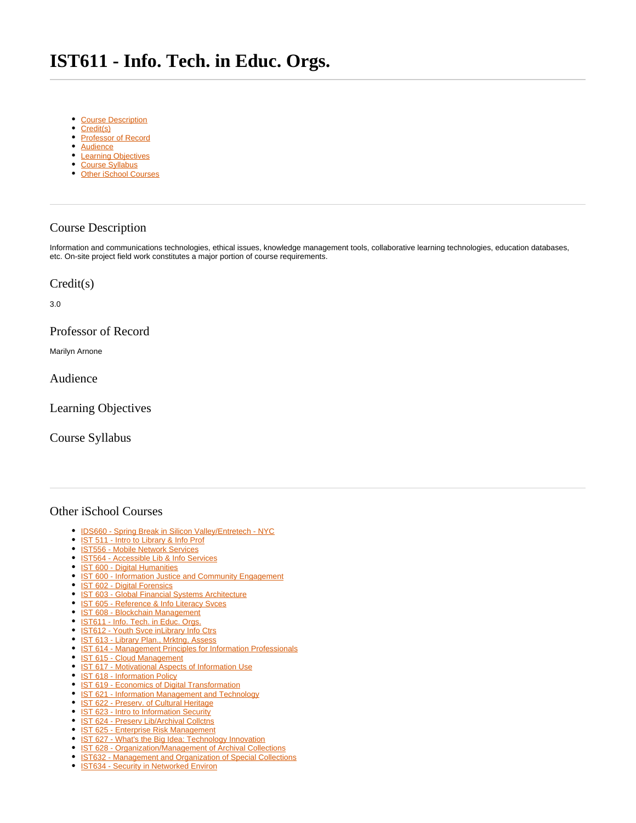## <span id="page-0-7"></span>**IST611 - Info. Tech. in Educ. Orgs.**

- [Course Description](#page-0-0)
- [Credit\(s\)](#page-0-1)
- [Professor of Record](#page-0-2)
- [Audience](#page-0-3)
- [Learning Objectives](#page-0-4)
- [Course Syllabus](#page-0-5)
- [Other iSchool Courses](#page-0-6)

## <span id="page-0-0"></span>Course Description

Information and communications technologies, ethical issues, knowledge management tools, collaborative learning technologies, education databases, etc. On-site project field work constitutes a major portion of course requirements.

## <span id="page-0-1"></span>Credit(s)

3.0

<span id="page-0-2"></span>Professor of Record

Marilyn Arnone

<span id="page-0-3"></span>Audience

<span id="page-0-4"></span>Learning Objectives

<span id="page-0-5"></span>Course Syllabus

## <span id="page-0-6"></span>Other iSchool Courses

- [IDS660 Spring Break in Silicon Valley/Entretech NYC](https://answers.syr.edu/pages/viewpage.action?pageId=105105587)
- [IST 511 Intro to Library & Info Prof](https://answers.syr.edu/pages/viewpage.action?pageId=105104273)
- **[IST556 Mobile Network Services](https://answers.syr.edu/display/ischool/IST556+-+Mobile+Network+Services)**
- <sup>o</sup> [IST564 Accessible Lib & Info Services](https://answers.syr.edu/pages/viewpage.action?pageId=105104276)
- **[IST 600 Digital Humanities](https://answers.syr.edu/display/ischool/IST+600+-+Digital+Humanities)**
- [IST 600 Information Justice and Community Engagement](https://answers.syr.edu/display/ischool/IST+600+-+Information+Justice+and+Community+Engagement)
- **[IST 602 Digital Forensics](https://answers.syr.edu/display/ischool/IST+602+-+Digital+Forensics)**
- **[IST 603 Global Financial Systems Architecture](https://answers.syr.edu/display/ischool/IST+603+-+Global+Financial+Systems+Architecture)**
- [IST 605 Reference & Info Literacy Svces](https://answers.syr.edu/pages/viewpage.action?pageId=105104280)
- **[IST 608 Blockchain Management](https://answers.syr.edu/display/ischool/IST+608+-+Blockchain+Management)**
- [IST611 Info. Tech. in Educ. Orgs.](#page-0-7)
- [IST612 Youth Svce inLibrary Info Ctrs](https://answers.syr.edu/display/ischool/IST612+-+Youth+Svce+inLibrary+Info+Ctrs)
- <sup>o</sup> [IST 613 Library Plan., Mrktng, Assess](https://answers.syr.edu/display/ischool/IST+613+-+Library+Plan.%2C+Mrktng%2C+Assess) <sup>o</sup> [IST 614 - Management Principles for Information Professionals](https://answers.syr.edu/display/ischool/IST+614+-+Management+Principles+for+Information+Professionals)
- **[IST 615 Cloud Management](https://answers.syr.edu/display/ischool/IST+615+-+Cloud+Management)**
- [IST 617 Motivational Aspects of Information Use](https://answers.syr.edu/display/ischool/IST+617+-+Motivational+Aspects+of+Information+Use)
- [IST 618 Information Policy](https://answers.syr.edu/display/ischool/IST+618+-+Information+Policy)
- <sup>•</sup> [IST 619 Economics of Digital Transformation](https://answers.syr.edu/display/ischool/IST+619+-+Economics+of+Digital+Transformation)
- [IST 621 Information Management and Technology](https://answers.syr.edu/display/ischool/IST+621+-+Information+Management+and+Technology)
- <sup>o</sup> [IST 622 Preserv. of Cultural Heritage](https://answers.syr.edu/display/ischool/IST+622+-+Preserv.+of+Cultural+Heritage)
- [IST 623 Intro to Information Security](https://answers.syr.edu/display/ischool/IST+623+-+Intro+to+Information+Security)
- <sup>•</sup> [IST 624 Preserv Lib/Archival Collctns](https://answers.syr.edu/pages/viewpage.action?pageId=118791180)
- [IST 625 Enterprise Risk Management](https://answers.syr.edu/display/ischool/IST+625+-+Enterprise+Risk+Management)
- <sup>o</sup> [IST 627 What's the Big Idea: Technology Innovation](https://answers.syr.edu/display/ischool/IST+627+-+What%27s+the+Big+Idea%3A+Technology+Innovation)
- <sup>o</sup> [IST 628 Organization/Management of Archival Collections](https://answers.syr.edu/pages/viewpage.action?pageId=105104315)
- $\bullet$ [IST632 - Management and Organization of Special Collections](https://answers.syr.edu/display/ischool/IST632+-+Management+and+Organization+of+Special+Collections)
- **[IST634 Security in Networked Environ](https://answers.syr.edu/display/ischool/IST634+-+Security+in+Networked+Environ)**